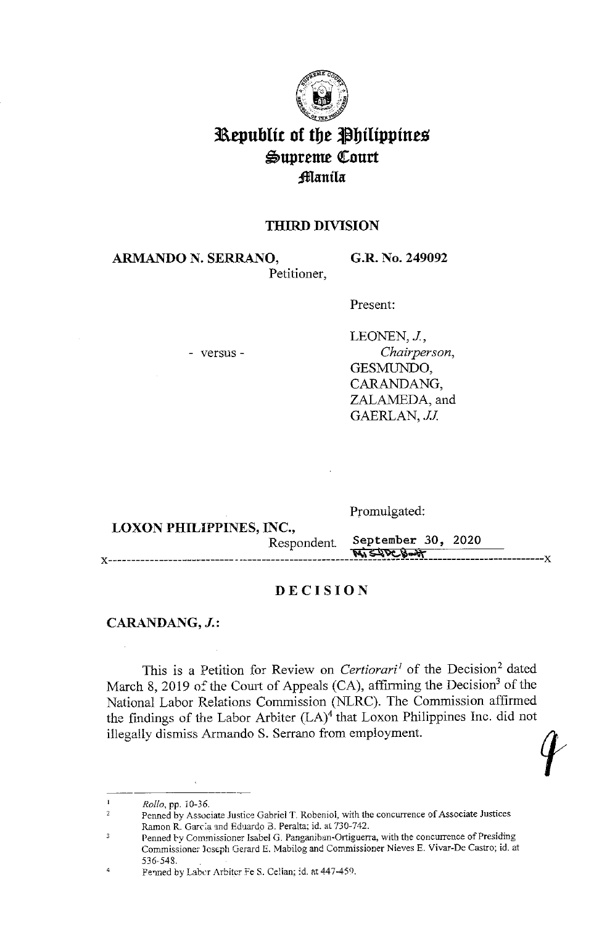

# **Republic of the Philippines**  $\mathfrak{S}$ upreme Court **;fflanila**

# **THIRD DIVISION**

**ARMANDO N. SERRANO,**  Petitioner, **G.R. No. 249092** 

Present:

- versus -

LEONEN, J., *Chairperson,*  GESMUNDO, CARANDANG, ZALAMEDA, and GAERLAN, *JJ*.

**LOXON PHILIPPINES, INC.,** Promulgated: Respondent September 30, 2020 x------------------------------------------------------~'-=-=-~-'-sll;-=--Vt,...;:c~-?.!lr, \_\_\_\_\_\_\_\_\_\_\_\_\_\_\_ x

# **DECISION**

## **CARANDANG, J.:**

This is a Petition for Review on *Certiorari<sup>1</sup>* of the Decision<sup>2</sup> dated March 8, 2019 of the Court of Appeals (CA), affirming the Decision<sup>3</sup> of the National Labor Relations Commission (NLRC). The Commission affirmed the findings of the Labor Arbiter  $(LA)^4$  that Loxon Philippines Inc. did not illegally dismiss Armando S. Serrano from employment.

 $\mathbf{I}$ *Rollo.* pp. 10-36.

2 Penned by Associate Justice Gabriel T. Robeniol, with the concurrence of Associate Justices Ramon R. Garcia and Eduardo B. Peralta; id. at 730-742.

Penned by Commissioner Isabel G. Panganiban-Ortiguerra, with the concurrence of Presiding  $\overline{3}$ Commissioner )cseph Gerard E. Mabilog and Commissioner Nieves E. Vivar-De Castro; id. at 536-543.

<sup>&#</sup>x27; Penned by Laber Arbiter Fe S. Celian; id. at 447-459.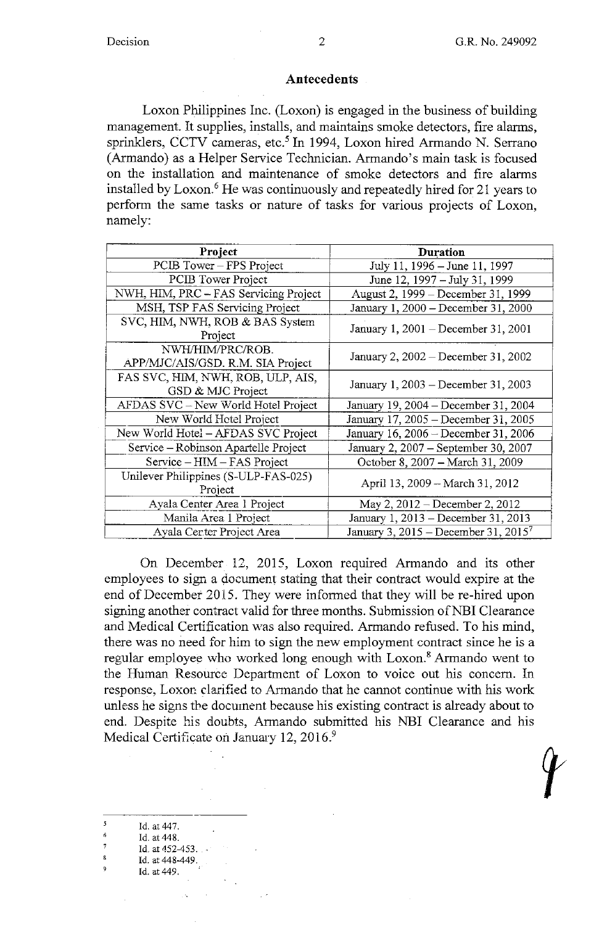#### **Antecedents**

Loxon Philippines Inc. (Loxon) is engaged in the business of building management. It supplies, installs, and maintains smoke detectors, fire alarms, sprinklers, CCTV cameras, etc.<sup>5</sup> In 1994, Loxon hired Armando N. Serrano (Armando) as a Helper Service Technician. Armando's main task is focused on the installation and maintenance of smoke detectors and fire alarms installed by Loxon. 6 He was continuously and repeatedly hired for 21 years to perform the same tasks or nature of tasks for various projects of Loxon, namely:

| Project                                                | <b>Duration</b>                                  |
|--------------------------------------------------------|--------------------------------------------------|
| PCIB Tower – FPS Project                               | July 11, 1996 – June 11, 1997                    |
| PCIB Tower Project                                     | June 12, 1997 – July 31, 1999                    |
| NWH, HIM, PRC - FAS Servicing Project                  | August 2, 1999 – December 31, 1999               |
| MSH, TSP FAS Servicing Project                         | January 1, 2000 - December 31, 2000              |
| SVC, HIM, NWH, ROB & BAS System<br>Project             | January 1, $2001 -$ December 31, $2001$          |
| NWH/HIM/PRC/ROB.<br>APP/MJC/AIS/GSD. R.M. SIA Project  | January 2, 2002 – December 31, 2002              |
| FAS SVC, HIM, NWH, ROB, ULP, AIS,<br>GSD & MJC Project | January 1, 2003 – December 31, 2003              |
| AFDAS SVC - New World Hotel Project                    | January 19, 2004 – December 31, 2004             |
| New World Hetel Project                                | January 17, 2005 - December 31, 2005             |
| New World Hotel – AFDAS SVC Project                    | January 16, 2006 - December 31, 2006             |
| Service – Robinson Apartelle Project                   | January 2, 2007 - September 30, 2007             |
| Service – HIM – FAS Project                            | October 8, 2007 – March 31, 2009                 |
| Unilever Philippines (S-ULP-FAS-025)<br>Project        | April 13, 2009 - March 31, 2012                  |
| Ayala Center Area 1 Project                            | May 2, $2012 - December 2, 2012$                 |
| Manila Area 1 Project                                  | January 1, 2013 – December 31, 2013              |
| Ayala Center Project Area                              | January 3, 2015 – December 31, 2015 <sup>7</sup> |

On December 12, 2015, Loxon required Armando and its other employees to sign a document stating that their contract would expire at the end of December 2015. They were informed that they will be re-hired upon signing another contract valid for three months. Submission of NBI Clearance and Medical Certification was also required. Armando refused. To his mind, there was no need for him to sign the new employment contract since he is a regular employee who worked long enough with Loxon.<sup>8</sup> Armando went to the Human Resource Department of Loxon to voice out his concern. In response, Loxor, clarified to Armando that he cannot continue with his work unless he signs tbe document because his existing contract is already about to end. Despite his doubts, Armando submitted his NBI Clearance and his Medical Certificate on January 12, 2016.<sup>9</sup>

- Id. at 447.
- $\acute{\rm{o}}$ Id. at 448.
- 7 Id. at 452-453.
- $\bf 8$ Id. at 448-449.
- 9 Id. at 449.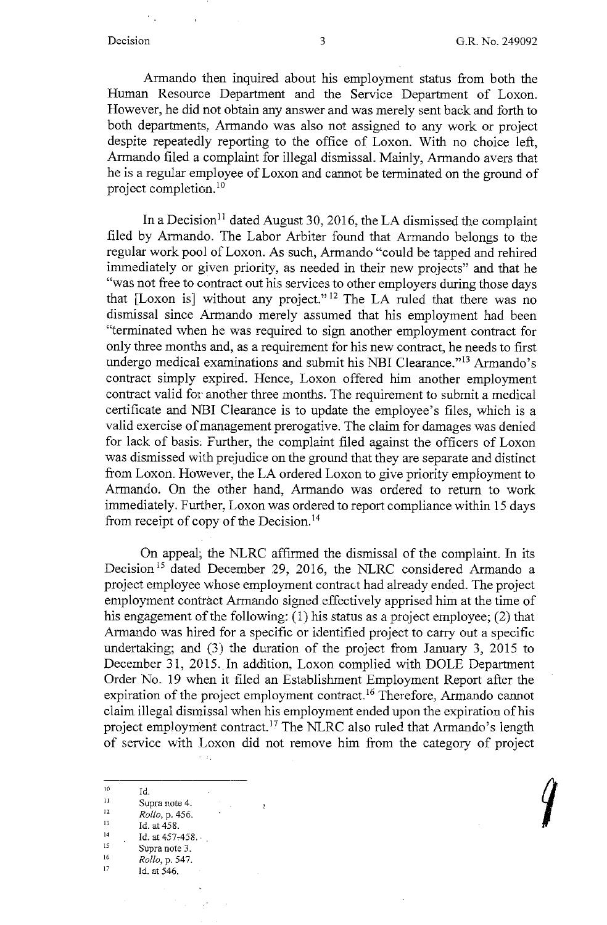Armando then inquired about his employment status from both the Human Resource Department and the Service Department of Loxon. However, he did not obtain any answer and was merely sent back and forth to both departments, Armando was also not assigned to any work or project despite repeatedly reporting to the office of Loxon. With no choice left, Armando filed a complaint for illegal dismissal. Mainly, Armando avers that he is a regular employee of Loxon and cannot be terminated on the ground of project completion. <sup>10</sup>

In a Decision<sup>11</sup> dated August 30, 2016, the LA dismissed the complaint filed by Armando. The Labor Arbiter found that Armando belongs to the regular work pool of Loxon. As such, Armando "could be tapped and rehired immediately or given priority, as needed in their new projects" and that he "was not free to contract out his services to other employers during those days that [Loxon is] without any project." 12 The LA ruled that there was no dismissal since Armando merely assumed that his employment had been "terminated when he was required to sign another employment contract for only three months and, as a requirement for his new contract, he needs to first undergo medical examinations and submit his NBI Clearance."<sup>13</sup> Armando's contract simply expired. Hence, Loxon offered him another employment contract valid for another three months. The requirement to submit a medical certificate and NBI Clearance is to update the employee's files, which is a valid exercise of management prerogative. The claim for damages was denied for lack of basis, Further, the complaint filed against the officers of Loxon was dismissed with prejudice on the ground that they are separate and distinct from Loxon. However, the LA ordered Loxon to give priority employment to Armando. On the other hand, Armando was ordered to return to work immediately. Further, Loxon was ordered to report compliance within 15 days from receipt of copy of the Decision.<sup>14</sup>

On appeal; the NLRC affirmed the dismissal of the complaint. In its Decision<sup>15</sup> dated December 29, 2016, the NLRC considered Armando a project employee whose employment contract had already ended. The project employment contract Armando signed effectively apprised him at the time of his engagement of the following: (1) his status as a project employee; (2) that Armando was hired for a specific or identified project to carry out a specific undertaking; and  $(3)$  the duration of the project from January 3, 2015 to December 31, 2015. In addition, Loxon complied with DOLE Department Order No. 19 when it filed an Establishment Employment Report after the expiration of the project employment contract.<sup>16</sup> Therefore, Armando cannot claim illegal dismissal when his employment ended upon the expiration of his project employment contract.<sup>17</sup> The NLRC also ruled that Armando's length of service with Loxon did not remove him from the category of project

 $\sim 11$ 

 $\mathbb{R}^3$ 

 $\overline{1}$ 

<sup>&</sup>lt;sup>10</sup> Id.<br>
<sup>11</sup> Supra note 4.<br>
<sup>12</sup> *Pollo* p. 455 <sup>12</sup> *Rollo*, p. 456.<br><sup>13</sup> Id. at 458. 14 Id. at  $457-458$ . <sup>15</sup> Supra note 3.<br><sup>16</sup>  $B_2U_2$  p 547 <sup>16</sup> *Rollo*, p. 547. 1d. at 546.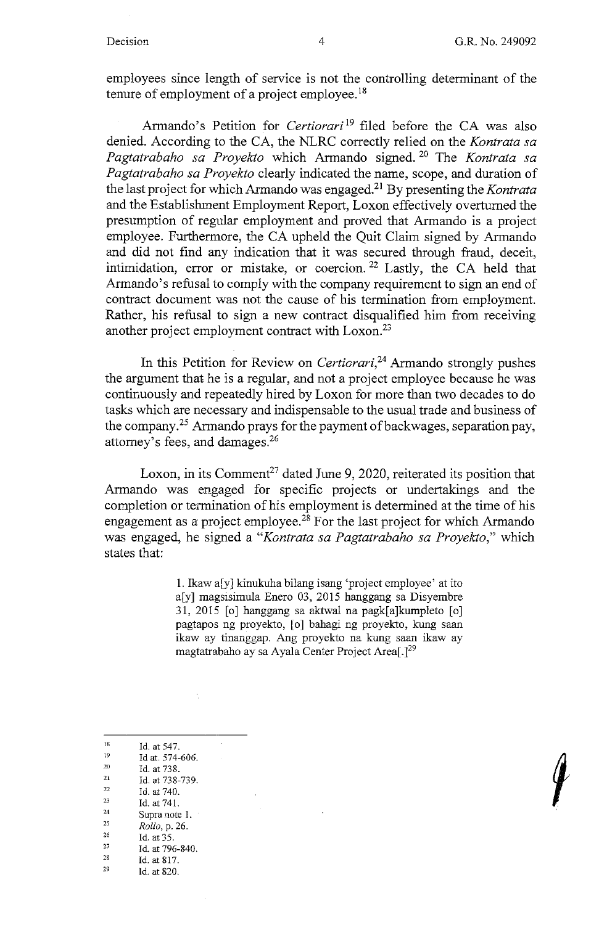employees since length of service is not the controlling determinant of the tenure of employment of a project employee.<sup>18</sup>

Armando's Petition for *Certiorari*<sup>19</sup> filed before the CA was also denied. According to the CA, the NLRC correctly relied on the *Kontrata sa Pagtatrabaho sa Proyekto* which Armando signed. 20 The *Kontrata sa Pagtatrabaho sa Proyekto* clearly indicated the name, scope, and duration of the last project for which Armando was engaged. 21 By presenting the *Kontrata*  and the Establishment Employment Report, Loxon effectively overturned the presumption of regular employment and proved that Armando is a project employee. Furthermore, the CA upheld the Quit Claim signed by Armando and did not find any indication that it was secured through fraud, deceit, intimidation, error or mistake, or coercion. 22 Lastly, the CA held that Armando's refusal to comply with the company requirement to sign an end of contract document was not the cause of his termination from employment. Rather, his refusal to sign a new contract disqualified him from receiving another project employment contract with Loxon.<sup>23</sup>

In this Petition for Review on *Certicrari,24* Armando strongly pushes the argument that he is a regular, and not a project employee because he was continuously and repeatedly hired by Loxon for more than two decades to do tasks which are necessary and indispensable to the usual trade and business of the company.<sup>25</sup> Armando prays for the payment of backwages, separation pay, attorney's fees, and damages.26

Loxon, in its Comment<sup>27</sup> dated June 9, 2020, reiterated its position that Armando was engaged for specific projects or undertakings and the completion or termination of his employment is determined at the time of his engagement as a project employee.<sup>28</sup> For the last project for which Armando was engaged, he signed a *"Kontrata sa Pagtatrabaho sa Proyekto,"* which states that:

> 1. Ikaw a[y] kinukuha bilang isang 'project employee' at ito a[y] magsisimula Enero 03, 2015 hanggang sa Disyembre 31, 2015 [o] hanggang sa aktwal na pagk[a]kumpleto [o] pagtapos ng proyekto, [o] bahagi ng proyekto, kung saan ikaw ay tinanggap. Ang proyekto na kung saan ikaw ay magtatrabaho ay sa Ayala Center Project Area<sup>[129</sup>]

- 18 Id. at 547.
- 19 Id at. 574-606.
- 20 Id. at 738.
- 21 22 Id. at 738-739.
- 23 Id. at 740.
- 24 Id. at 741.
- 25 Supra note 1.
- 26 *Rollo,* p. 26.
- 27 Id. at 35. Id. at 796-840.
- 28 Id. at 817.
- 29 Id. at 820.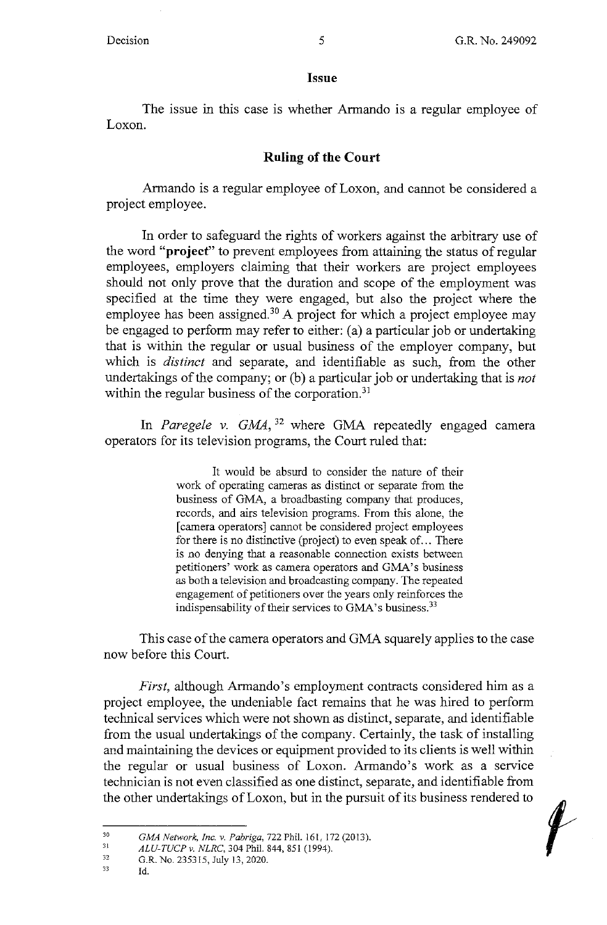#### **Issue**

The issue in this case is whether Armando is a regular employee of Loxon.

### **Ruling of the Court**

Armando is a regular employee of Loxon, and cannot be considered a project employee.

In order to safeguard the rights of workers against the arbitrary use of the word **"project"** to prevent employees from attaining the status of regular employees, employers claiming that their workers are project employees should not only prove that the duration and scope of the employment was specified at the time they were engaged, but also the project where the employee has been assigned.<sup>30</sup> A project for which a project employee may be engaged to perform may refer to either: (a) a particular job or undertaking that is within the regular or usual business of the employer company, but which is *distinct* and separate, and identifiable as such, from the other undertakings of the company; or (b) a particular job or undertaking that is *not*  within the regular business of the corporation. $31$ 

In *Paregele v. GMA*, <sup>32</sup> where GMA repeatedly engaged camera operators for its television programs, the Court ruled that:

> It would be absurd to consider the nature of their work of operating cameras as distinct or separate from the business of GMA, a broadbasting company that produces, records, and airs television programs. From this alone, the [ camera operators] cannot be considered project employees for there is no distinctive (project) to even speak of... There is no denying that a reasonable connection exists between petitioners' work as camera operators and GMA's business as both a television and broadcasting company. The repeated engagement of petitioners over the years only reinforces the indispensability of their services to GMA's business.  $33$

This case of the camera operators and GMA squarely applies to the case now before this Court.

*First,* although Armando's employment contracts considered him as a project employee, the undeniable fact remains that he was hired to perform technical services which were not shown as distinct, separate, and identifiable from the usual undertakings of the company. Certainly, the task of installing and maintaining the devices or equipment provided to its clients is well within the regular or usual business of Loxon. Armando's work as a service technician is not even classified as one distinct, separate, and identifiable from the other undertakings ofLoxon, but in the pursuit of its business rendered to

<sup>30</sup>  *GMA Network, Inc. v. Pabriga,* 722 Phil. 161, 172 (2013).

<sup>31</sup>  *ALU-TUCP v. NLRC,* 304 Phil. 844,851 (1994).

<sup>32</sup>  G.R. No. 235315, July 13, 2020.

<sup>33</sup>  Id.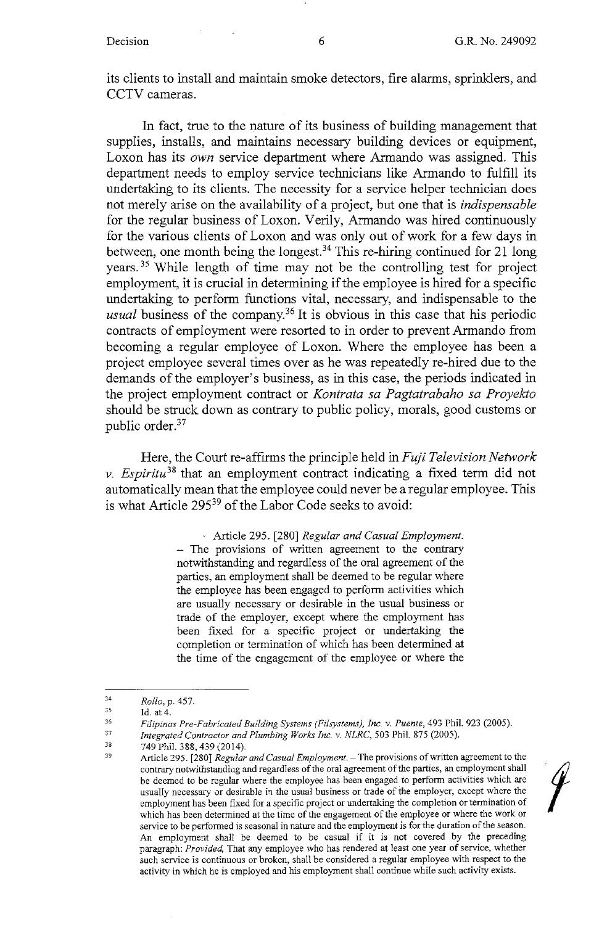its clients to install and maintain smoke detectors, fire alarms, sprinklers, and CCTV cameras.

In fact, true to the nature of its business of building management that supplies, installs, and maintains necessary building devices or equipment, Loxon has its *own* service department where Armando was assigned. This department needs to employ service technicians like Armando to fulfill its undertaking to its clients. The necessity for a service helper technician does not merely arise on the availability of a project, but one that is *indispensable*  for the regular business of Loxon. Verily, Armando was hired continuously for the various clients of Loxon and was only out of work for a few days in between, one month being the longest.<sup>34</sup> This re-hiring continued for 21 long years. 35 While length of time may not be the controlling test for project employment, it is crucial in determining if the employee is hired for a specific undertaking to perform functions vital, necessary, and indispensable to the *usual* business of the company. 36 It is obvious in this case that his periodic contracts of employment were resorted to in order to prevent Armando from becoming a regular employee of Loxon. Where the employee has been a project employee several times over as he was repeatedly re-hired due to the demands of the employer's business, as in this case, the periods indicated in the project employment contract or *Kontrata sa Pagtatrabaho sa Proyekto*  should be struck down as contrary to public policy, morals, good customs or public order.<sup>37</sup>

Here, the Court re-affirms the principle held in *Fuji Television Network v. Espiritu38* that an employment contract indicating a fixed term did not automatically mean that the employee could never be a regular employee. This is what Article 295<sup>39</sup> of the Labor Code seeks to avoid:

, Article 295. [280] *Regular and Casual Employment.* 

 $-$  The provisions of written agreement to the contrary notwithstanding and regardless of the oral agreement of the parties, an employment shall be deemed to be regular where the employee has been engaged to perform activities which are usually necessary or desirable in the usual business or trade of the employer, except where the employment has been fixed for a specific project or undertaking the completion or termination of which has been determined at the time of the engagement of the employee or where the

Article 295. [280] *Regular and Casual Employment*. - The provisions of written agreement to the contrary notwithstanding and regardless of the oral agreement of the parties, an employment shall be deemed to be regular where the employee has been engaged to perform activities which are usually necessary or desirable in the usual business or trade of the employer, except where the employment has been fixed for a specific project or undertaking the completion or termination of which has been determined at the time of the engagement of the employee or where the work or service to be performed is seasonal in nature and the employment is for the duration of the season. An employment shall be deemed to be casual if it is not covered by the preceding paragraph: *Provided,* That any employee who has rendered at least one year of service, whether **such service is continuous or broken, shall be considered a regular employee with respect to the**  activity in which he is employed and his employment shall continue while such activity exists.



<sup>34</sup>  *Rollo,* p. 457.

<sup>35</sup>  Id. at 4.

<sup>36</sup>  *Filipinas Pre-Fabricated Building Systems (Fi/systems), Inc. v. Puente,* 493 Phil. 923 (2005).

<sup>37</sup>  *Integrated Contractor and Plumbing Works Inc. v. NLRC,* 503 Phil. 875 (2005).

<sup>38</sup>  39 749 Phil. 388,439 (2014).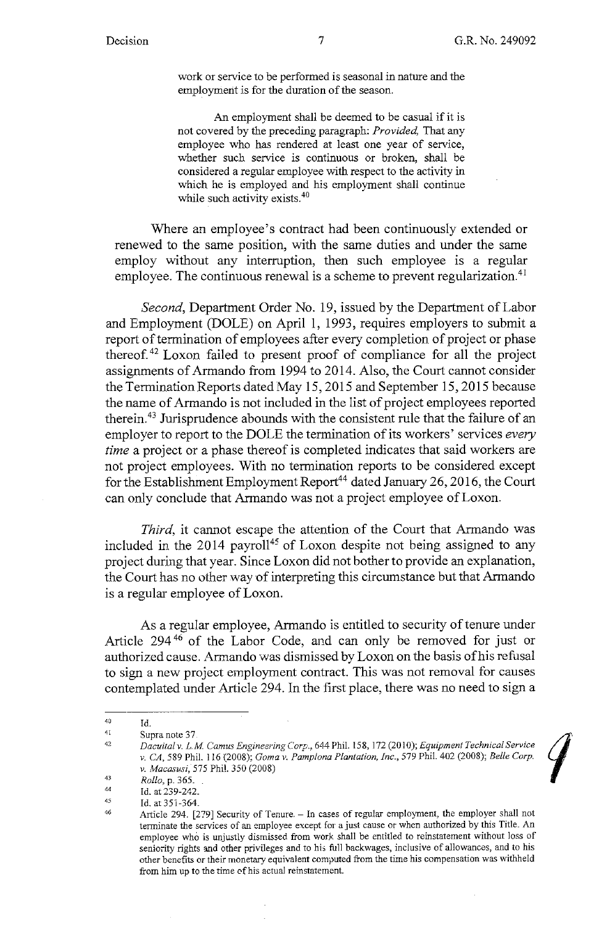work or service to be performed is seasonal in nature and the employment is for the duration of the season.

An employment shall be deemed to be casual if it is not covered by the preceding paragraph: *Provided,* That any employee who has rendered at least one year of service, whether such service is continuous or broken, shall be considered a regular employee with respect to the activity in which he is employed and his employment shall continue while such activity exists.<sup>40</sup>

Where an employee's contract had been continuously extended or renewed to the same position, with the same duties and under the same employ without any interruption, then such employee is a regular employee. The continuous renewal is a scheme to prevent regularization.<sup>41</sup>

*Second,* Department Order No. 19, issued by the Department of Labor and Employment (DOLE) on April 1, 1993, requires employers to submit a report of termination of employees after every completion of project or phase thereof. 42 Loxon failed to present proof of compliance for all the project assignments of Armando from 1994 to 2014. Also, the Court cannot consider the Termination Reports dated May 15, 2015 and September 15, 2015 because the name of Armando is not included in the list of project employees reported therein.<sup>43</sup> Jurisprudence abounds with the consistent rule that the failure of an employer to report to the DOLE the termination of its workers' services *every time* a project or a phase thereof is completed indicates that said workers are not project employees. With no termination reports to be considered except for the Establishment Employment Report<sup>44</sup> dated January 26, 2016, the Court can only conclude that Armando was not a project employee of Loxon.

*Third*, it cannot escape the attention of the Court that Armando was included in the  $2014$  payroll<sup>45</sup> of Loxon despite not being assigned to any project during that year. Since Loxon did not bother to provide an explanation, the Court has no other way of interpreting this circumstance but that Armando is a regular employee ofLoxon.

As a regular employee, Armando is entitled to security of tenure under Article 294<sup>46</sup> of the Labor Code, and can only be removed for just or authorized cause. Armando was dismissed by Loxon on the basis of his refusal to sign a new project employment contract. This was not removal for causes contemplated under Article 294. In the first place, there was no need to sign a

<sup>40</sup> **Id.** 

<sup>41</sup> 

<sup>42</sup>  Supra note 37<br>Dacuital v. L.M. Camus Engineering Corp., 644 Phil. 158, 172 (2010); Equipment Technical Service<br>v. CA, 589 Phil. 116 (2008); Goma v. Pamplona Plantation, Inc., 579 Phil. 402 (2008); Belle Corp. *v. Macasusi,* 575 Phil. 350 (2008)

<sup>43</sup>  *Rollo,* p. 365.

<sup>44</sup>  Id. at 239-242.

<sup>45</sup>  Id. at 351-364.

<sup>46</sup>  Article 294. [279] Security of Tenure. - In cases of regular employment, the employer shall not terminate the services of an employee except for a just cause or when authorized by this Title. An employee who is unjustly dismissed from work shall be entitled to reinstatement without loss of seniority rights and other privileges and to his full backwages, inclusive of allowances, and to his **other benefits or their monetary equivalent computed from the time his compensation was withheld from him up to the time cf his actual reinstatement.**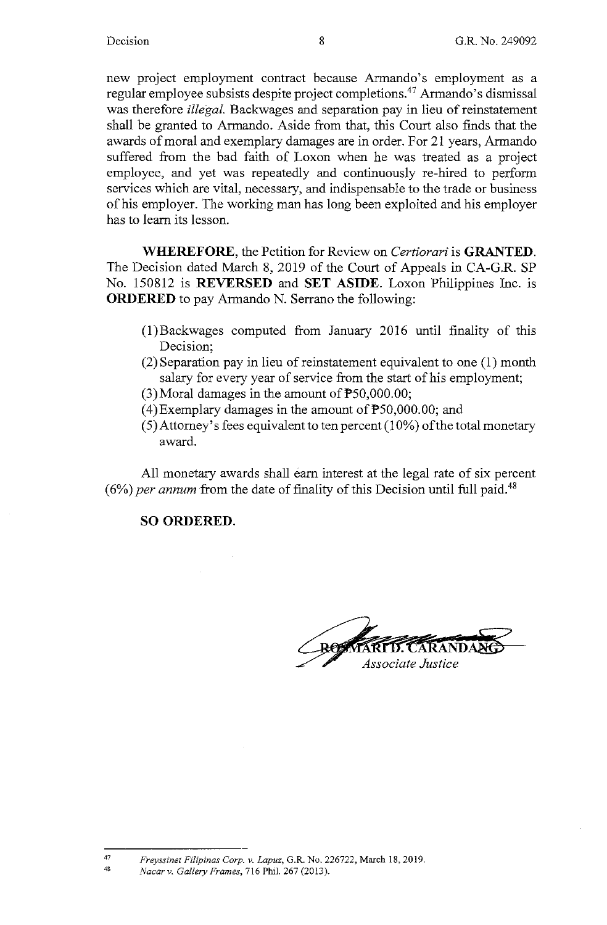new project employment contract because Armando's employment as a regular employee subsists despite project completions.47 Armando's dismissal was therefore *illegal.* Backwages and separation pay in lieu of reinstatement shall be granted to Armando. Aside from that, this Court also finds that the awards of moral and exemplary damages are in order. For 21 years, Armando suffered from the bad faith of Loxon when he was treated as a project employee, and yet was repeatedly and continuously re-hired to perform services which are vital, necessary, and indispensable to the trade or business of his employer. The working man has long been exploited and his employer has to learn its lesson.

**WHEREFORE,** the Petition for Review on *Certiorari* is **GRANTED.**  The Decision dated March 8, 2019 of the Court of Appeals in CA-G.R. SP No. 150812 is **REVERSED** and **SET ASIDE.** Loxon Philippines Inc. 1s **ORDERED** to pay Armando N. Serrano the following:

- (l)Backwages computed from January 2016 until finality of this Decision;
- (2) Separation pay in lieu of reinstatement equivalent to one (1) month salary for every year of service from the start of his employment;
- (3)Moral damages in the amount of P50,000.00;
- (4)Exemplary damages in the amount of P50,000.00; and
- $(5)$  Attorney's fees equivalent to ten percent  $(10\%)$  of the total monetary award.

All monetary awards shall earn interest at the legal rate of six percent  $(6\%)$  *per annum* from the date of finality of this Decision until full paid.<sup>48</sup>

# **SO ORDERED.**

**POWERFTS. CARANDARS** 

<sup>47</sup>  *Freyssinet Filipinas Corp. v. Lapuz,* G.R. No. 226722, March 18. 2019.

<sup>48</sup>  *Nacar v. Gallery Frames,* 716 Phil. 267 (2013).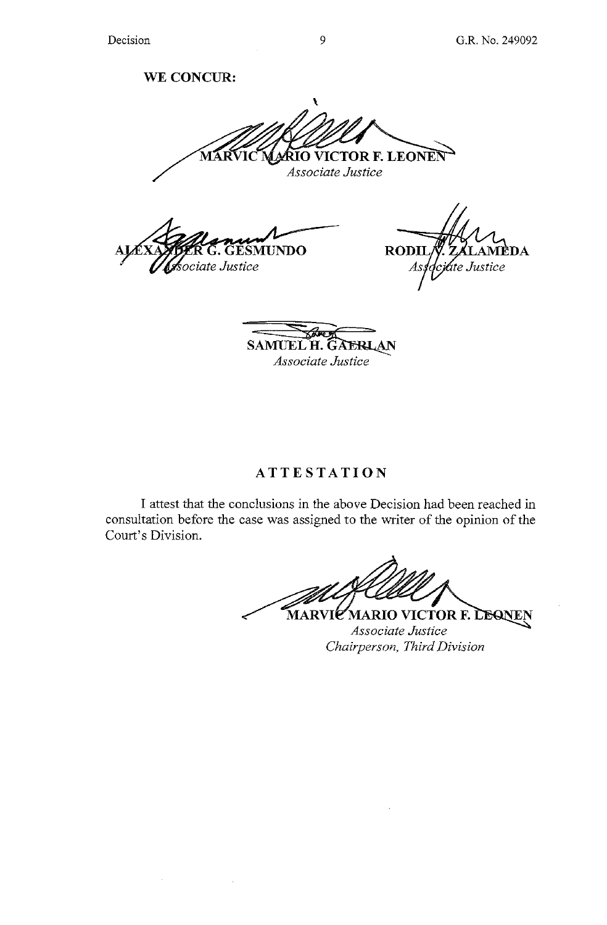**WE CONCUR:** 

 $\mathbf{r}$ **RIO VICTOR F. LEONEN MÁRVIC** 

**SMUNDO** sociate Justice

 $\Delta \sim 1$ 

**RODII** DA jate Justice

**SAMUEL H. GAERLAN** *Associate Justice* 

# **ATTESTATION**

I attest that the conclusions in the above Decision had been reached in consultation before the case was assigned to the writer of the opinion of the Court's Division.

MARVIE MARIO VICTOR F. LEONEN *Associate Justice Chairperson, Third Division* 

*Associate Justice*